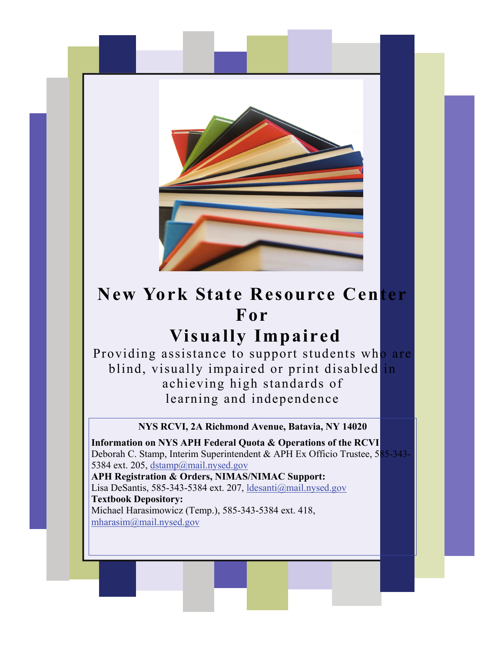

# **New York State Resource Center For**

## **Visually Impaired**

Providing assistance to support students who are blind, visually impaired or print disabled in achieving high standards of learning and independence

#### **NYS RCVI, 2A Richmond Avenue, Batavia, NY 14020**

 mharasim@mail.nysed.gov **Information on NYS APH Federal Quota & Operations of the RCVI**  Deborah C. Stamp, Interim Superintendent & APH Ex Officio Trustee, 585-343- 5384 ext. 205, dstamp@mail.nysed.gov **APH Registration & Orders, NIMAS/NIMAC Support:**  Lisa DeSantis, 585-343-5384 ext. 207, ldesanti@mail.nysed.gov **Textbook Depository:**  Michael Harasimowicz (Temp.), 585-343-5384 ext. 418,